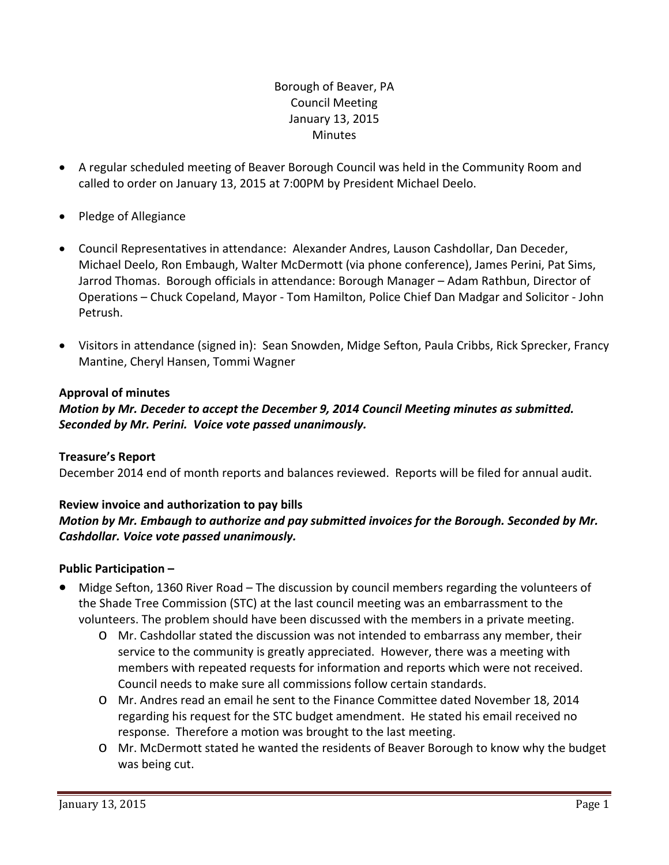# Borough of Beaver, PA Council Meeting January 13, 2015 **Minutes**

- A regular scheduled meeting of Beaver Borough Council was held in the Community Room and called to order on January 13, 2015 at 7:00PM by President Michael Deelo.
- Pledge of Allegiance
- Council Representatives in attendance: Alexander Andres, Lauson Cashdollar, Dan Deceder, Michael Deelo, Ron Embaugh, Walter McDermott (via phone conference), James Perini, Pat Sims, Jarrod Thomas. Borough officials in attendance: Borough Manager – Adam Rathbun, Director of Operations – Chuck Copeland, Mayor ‐ Tom Hamilton, Police Chief Dan Madgar and Solicitor ‐ John Petrush.
- Visitors in attendance (signed in): Sean Snowden, Midge Sefton, Paula Cribbs, Rick Sprecker, Francy Mantine, Cheryl Hansen, Tommi Wagner

# **Approval of minutes**

*Motion by Mr. Deceder to accept the December 9, 2014 Council Meeting minutes as submitted. Seconded by Mr. Perini. Voice vote passed unanimously.* 

## **Treasure's Report**

December 2014 end of month reports and balances reviewed. Reports will be filed for annual audit.

# **Review invoice and authorization to pay bills**

# *Motion by Mr. Embaugh to authorize and pay submitted invoices for the Borough. Seconded by Mr. Cashdollar. Voice vote passed unanimously.*

# **Public Participation –**

- Midge Sefton, 1360 River Road The discussion by council members regarding the volunteers of the Shade Tree Commission (STC) at the last council meeting was an embarrassment to the volunteers. The problem should have been discussed with the members in a private meeting.
	- o Mr. Cashdollar stated the discussion was not intended to embarrass any member, their service to the community is greatly appreciated. However, there was a meeting with members with repeated requests for information and reports which were not received. Council needs to make sure all commissions follow certain standards.
	- o Mr. Andres read an email he sent to the Finance Committee dated November 18, 2014 regarding his request for the STC budget amendment. He stated his email received no response. Therefore a motion was brought to the last meeting.
	- o Mr. McDermott stated he wanted the residents of Beaver Borough to know why the budget was being cut.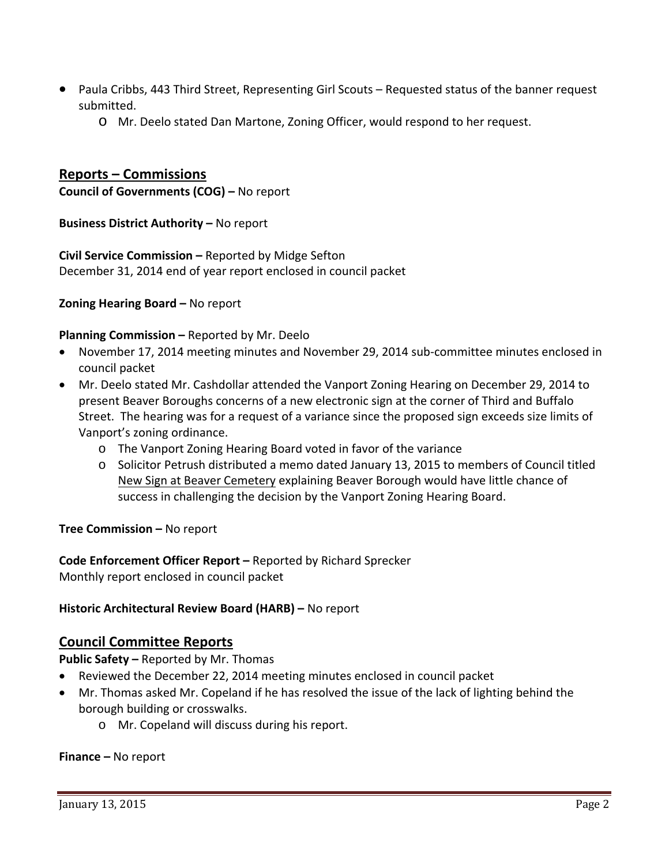- Paula Cribbs, 443 Third Street, Representing Girl Scouts Requested status of the banner request submitted.
	- o Mr. Deelo stated Dan Martone, Zoning Officer, would respond to her request.

# **Reports – Commissions**

**Council of Governments (COG) –** No report

**Business District Authority –** No report

**Civil Service Commission –** Reported by Midge Sefton December 31, 2014 end of year report enclosed in council packet

**Zoning Hearing Board –** No report

#### **Planning Commission –** Reported by Mr. Deelo

- November 17, 2014 meeting minutes and November 29, 2014 sub‐committee minutes enclosed in council packet
- Mr. Deelo stated Mr. Cashdollar attended the Vanport Zoning Hearing on December 29, 2014 to present Beaver Boroughs concerns of a new electronic sign at the corner of Third and Buffalo Street. The hearing was for a request of a variance since the proposed sign exceeds size limits of Vanport's zoning ordinance.
	- o The Vanport Zoning Hearing Board voted in favor of the variance
	- o Solicitor Petrush distributed a memo dated January 13, 2015 to members of Council titled New Sign at Beaver Cemetery explaining Beaver Borough would have little chance of success in challenging the decision by the Vanport Zoning Hearing Board.

**Tree Commission –** No report

**Code Enforcement Officer Report –** Reported by Richard Sprecker Monthly report enclosed in council packet

## **Historic Architectural Review Board (HARB) –** No report

## **Council Committee Reports**

**Public Safety –** Reported by Mr. Thomas

- Reviewed the December 22, 2014 meeting minutes enclosed in council packet
- Mr. Thomas asked Mr. Copeland if he has resolved the issue of the lack of lighting behind the borough building or crosswalks.
	- o Mr. Copeland will discuss during his report.

#### **Finance –** No report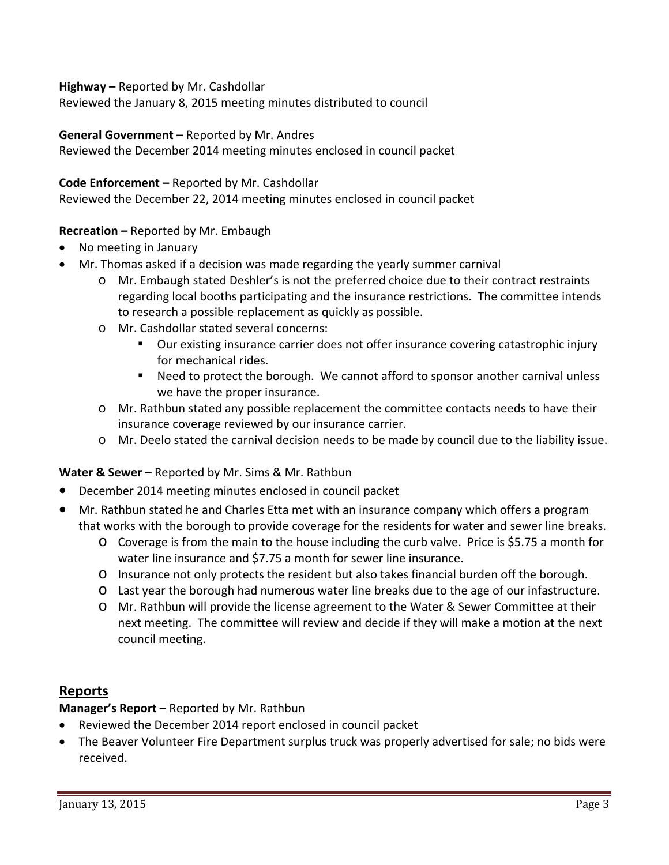## **Highway –** Reported by Mr. Cashdollar

Reviewed the January 8, 2015 meeting minutes distributed to council

## **General Government –** Reported by Mr. Andres

Reviewed the December 2014 meeting minutes enclosed in council packet

## **Code Enforcement –** Reported by Mr. Cashdollar

Reviewed the December 22, 2014 meeting minutes enclosed in council packet

# **Recreation –** Reported by Mr. Embaugh

- No meeting in January
- Mr. Thomas asked if a decision was made regarding the yearly summer carnival
	- o Mr. Embaugh stated Deshler's is not the preferred choice due to their contract restraints regarding local booths participating and the insurance restrictions. The committee intends to research a possible replacement as quickly as possible.
	- o Mr. Cashdollar stated several concerns:
		- Our existing insurance carrier does not offer insurance covering catastrophic injury for mechanical rides.
		- Need to protect the borough. We cannot afford to sponsor another carnival unless we have the proper insurance.
	- o Mr. Rathbun stated any possible replacement the committee contacts needs to have their insurance coverage reviewed by our insurance carrier.
	- o Mr. Deelo stated the carnival decision needs to be made by council due to the liability issue.

## **Water & Sewer –** Reported by Mr. Sims & Mr. Rathbun

- December 2014 meeting minutes enclosed in council packet
- Mr. Rathbun stated he and Charles Etta met with an insurance company which offers a program that works with the borough to provide coverage for the residents for water and sewer line breaks.
	- o Coverage is from the main to the house including the curb valve. Price is \$5.75 a month for water line insurance and \$7.75 a month for sewer line insurance.
	- o Insurance not only protects the resident but also takes financial burden off the borough.
	- o Last year the borough had numerous water line breaks due to the age of our infastructure.
	- o Mr. Rathbun will provide the license agreement to the Water & Sewer Committee at their next meeting. The committee will review and decide if they will make a motion at the next council meeting.

# **Reports**

**Manager's Report –** Reported by Mr. Rathbun

- Reviewed the December 2014 report enclosed in council packet
- The Beaver Volunteer Fire Department surplus truck was properly advertised for sale; no bids were received.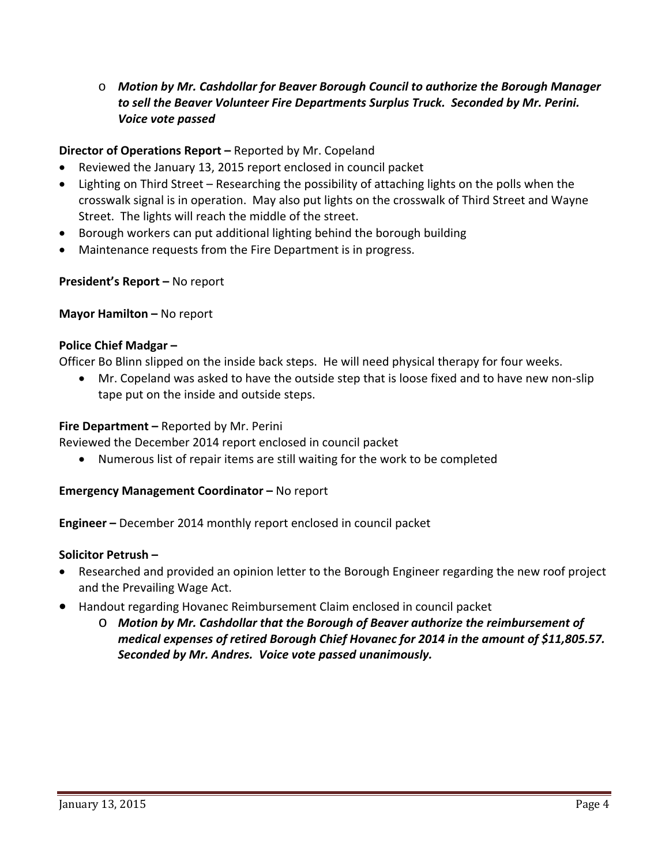# o *Motion by Mr. Cashdollar for Beaver Borough Council to authorize the Borough Manager to sell the Beaver Volunteer Fire Departments Surplus Truck. Seconded by Mr. Perini. Voice vote passed*

# **Director of Operations Report –** Reported by Mr. Copeland

- Reviewed the January 13, 2015 report enclosed in council packet
- Lighting on Third Street Researching the possibility of attaching lights on the polls when the crosswalk signal is in operation. May also put lights on the crosswalk of Third Street and Wayne Street. The lights will reach the middle of the street.
- Borough workers can put additional lighting behind the borough building
- Maintenance requests from the Fire Department is in progress.

## **President's Report –** No report

## **Mayor Hamilton –** No report

## **Police Chief Madgar –**

Officer Bo Blinn slipped on the inside back steps. He will need physical therapy for four weeks.

■ Mr. Copeland was asked to have the outside step that is loose fixed and to have new non-slip tape put on the inside and outside steps.

## **Fire Department –** Reported by Mr. Perini

Reviewed the December 2014 report enclosed in council packet

Numerous list of repair items are still waiting for the work to be completed

## **Emergency Management Coordinator –** No report

**Engineer –** December 2014 monthly report enclosed in council packet

## **Solicitor Petrush –**

- Researched and provided an opinion letter to the Borough Engineer regarding the new roof project and the Prevailing Wage Act.
- Handout regarding Hovanec Reimbursement Claim enclosed in council packet
	- o *Motion by Mr. Cashdollar that the Borough of Beaver authorize the reimbursement of medical expenses of retired Borough Chief Hovanec for 2014 in the amount of \$11,805.57. Seconded by Mr. Andres. Voice vote passed unanimously.*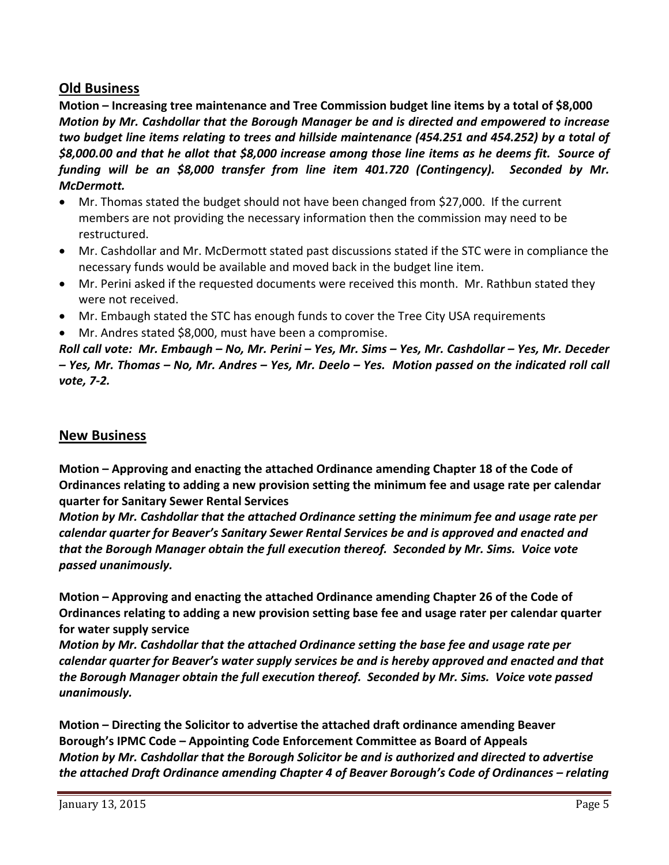# **Old Business**

**Motion – Increasing tree maintenance and Tree Commission budget line items by a total of \$8,000** *Motion by Mr. Cashdollar that the Borough Manager be and is directed and empowered to increase two budget line items relating to trees and hillside maintenance (454.251 and 454.252) by a total of* \$8,000.00 and that he allot that \$8,000 increase among those line items as he deems fit. Source of *funding will be an \$8,000 transfer from line item 401.720 (Contingency). Seconded by Mr.*  $McDermott.$ 

- Mr. Thomas stated the budget should not have been changed from \$27,000. If the current members are not providing the necessary information then the commission may need to be restructured.
- Mr. Cashdollar and Mr. McDermott stated past discussions stated if the STC were in compliance the necessary funds would be available and moved back in the budget line item.
- Mr. Perini asked if the requested documents were received this month. Mr. Rathbun stated they were not received.
- Mr. Embaugh stated the STC has enough funds to cover the Tree City USA requirements
- Mr. Andres stated \$8,000, must have been a compromise.

Roll call vote: Mr. Embaugh – No, Mr. Perini – Yes, Mr. Sims – Yes, Mr. Cashdollar – Yes, Mr. Deceder - Yes, Mr. Thomas - No, Mr. Andres - Yes, Mr. Deelo - Yes. Motion passed on the indicated roll call *vote, 7‐2.*

# **New Business**

**Motion – Approving and enacting the attached Ordinance amending Chapter 18 of the Code of Ordinances relating to adding a new provision setting the minimum fee and usage rate per calendar quarter for Sanitary Sewer Rental Services**

*Motion by Mr. Cashdollar that the attached Ordinance setting the minimum fee and usage rate per calendar quarter for Beaver's Sanitary Sewer Rental Services be and is approved and enacted and that the Borough Manager obtain the full execution thereof. Seconded by Mr. Sims. Voice vote passed unanimously.*

**Motion – Approving and enacting the attached Ordinance amending Chapter 26 of the Code of Ordinances relating to adding a new provision setting base fee and usage rater per calendar quarter for water supply service**

*Motion by Mr. Cashdollar that the attached Ordinance setting the base fee and usage rate per calendar quarter for Beaver's water supply services be and is hereby approved and enacted and that the Borough Manager obtain the full execution thereof. Seconded by Mr. Sims. Voice vote passed unanimously.* 

**Motion – Directing the Solicitor to advertise the attached draft ordinance amending Beaver Borough's IPMC Code – Appointing Code Enforcement Committee as Board of Appeals** *Motion by Mr. Cashdollar that the Borough Solicitor be and is authorized and directed to advertise the attached Draft Ordinance amending Chapter 4 of Beaver Borough's Code of Ordinances – relating*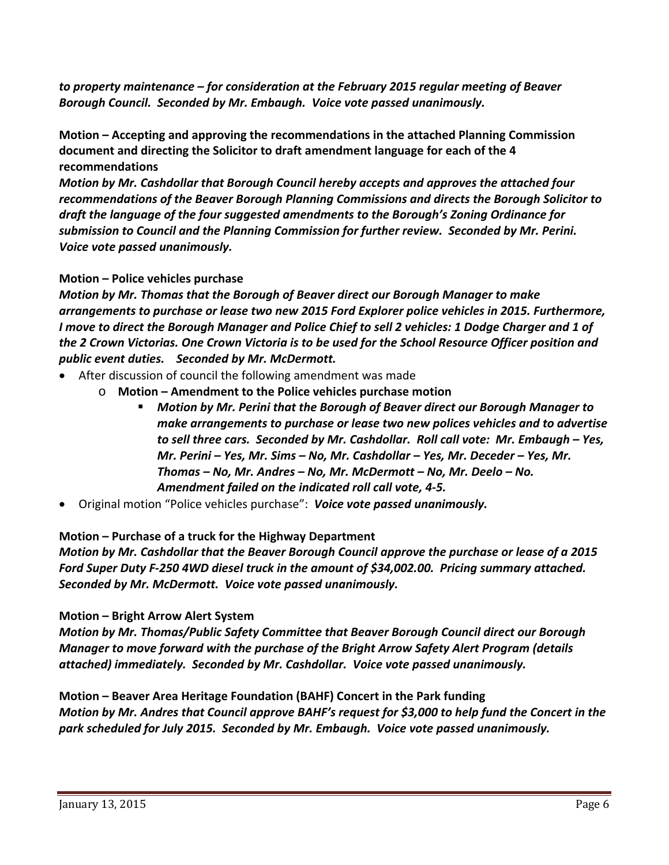*to property maintenance – for consideration at the February 2015 regular meeting of Beaver Borough Council. Seconded by Mr. Embaugh. Voice vote passed unanimously.* 

**Motion – Accepting and approving the recommendations in the attached Planning Commission document and directing the Solicitor to draft amendment language for each of the 4 recommendations**

*Motion by Mr. Cashdollar that Borough Council hereby accepts and approves the attached four recommendations of the Beaver Borough Planning Commissions and directs the Borough Solicitor to draft the language of the four suggested amendments to the Borough's Zoning Ordinance for submission to Council and the Planning Commission for further review. Seconded by Mr. Perini. Voice vote passed unanimously.* 

# **Motion – Police vehicles purchase**

*Motion by Mr. Thomas that the Borough of Beaver direct our Borough Manager to make arrangements to purchase or lease two new 2015 Ford Explorer police vehicles in 2015. Furthermore,* I move to direct the Borough Manager and Police Chief to sell 2 vehicles: 1 Dodge Charger and 1 of the 2 Crown Victorias. One Crown Victoria is to be used for the School Resource Officer position and *public event duties. Seconded by Mr. McDermott.* 

- After discussion of council the following amendment was made
	- o **Motion – Amendment to the Police vehicles purchase motion**
		- *Motion by Mr. Perini that the Borough of Beaver direct our Borough Manager to make arrangements to purchase or lease two new polices vehicles and to advertise to sell three cars. Seconded by Mr. Cashdollar. Roll call vote: Mr. Embaugh – Yes, Mr. Perini – Yes, Mr. Sims – No, Mr. Cashdollar – Yes, Mr. Deceder – Yes, Mr. Thomas – No, Mr. Andres – No, Mr. McDermott – No, Mr. Deelo – No. Amendment failed on the indicated roll call vote, 4‐5.*
- Original motion "Police vehicles purchase": *Voice vote passed unanimously.*

## **Motion – Purchase of a truck for the Highway Department**

*Motion by Mr. Cashdollar that the Beaver Borough Council approve the purchase or lease of a 2015* Ford Super Duty F-250 4WD diesel truck in the amount of \$34,002.00. Pricing summary attached. *Seconded by Mr. McDermott. Voice vote passed unanimously.* 

# **Motion – Bright Arrow Alert System**

*Motion by Mr. Thomas/Public Safety Committee that Beaver Borough Council direct our Borough Manager to move forward with the purchase of the Bright Arrow Safety Alert Program (details attached) immediately. Seconded by Mr. Cashdollar. Voice vote passed unanimously.* 

**Motion – Beaver Area Heritage Foundation (BAHF) Concert in the Park funding** Motion by Mr. Andres that Council approve BAHF's request for \$3,000 to help fund the Concert in the *park scheduled for July 2015. Seconded by Mr. Embaugh. Voice vote passed unanimously.*